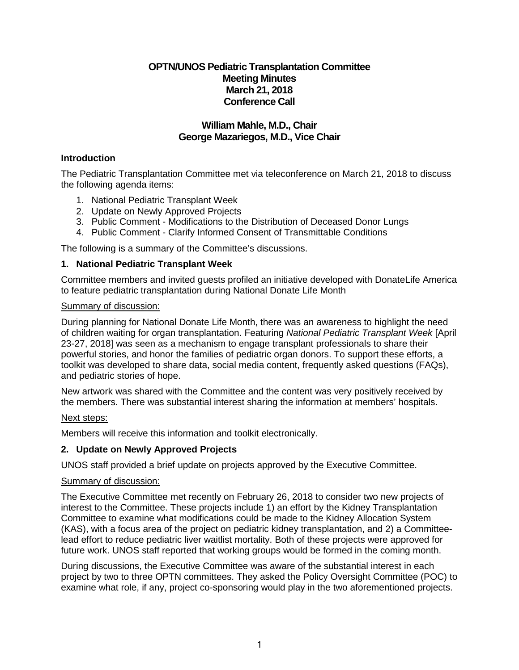# **OPTN/UNOS Pediatric Transplantation Committee Meeting Minutes March 21, 2018 Conference Call**

# **William Mahle, M.D., Chair George Mazariegos, M.D., Vice Chair**

## **Introduction**

The Pediatric Transplantation Committee met via teleconference on March 21, 2018 to discuss the following agenda items:

- 1. National Pediatric Transplant Week
- 2. Update on Newly Approved Projects
- 3. Public Comment Modifications to the Distribution of Deceased Donor Lungs
- 4. Public Comment Clarify Informed Consent of Transmittable Conditions

The following is a summary of the Committee's discussions.

### **1. National Pediatric Transplant Week**

Committee members and invited guests profiled an initiative developed with DonateLife America to feature pediatric transplantation during National Donate Life Month

#### Summary of discussion:

During planning for National Donate Life Month, there was an awareness to highlight the need of children waiting for organ transplantation. Featuring *National Pediatric Transplant Week* [April 23-27, 2018] was seen as a mechanism to engage transplant professionals to share their powerful stories, and honor the families of pediatric organ donors. To support these efforts, a toolkit was developed to share data, social media content, frequently asked questions (FAQs), and pediatric stories of hope.

New artwork was shared with the Committee and the content was very positively received by the members. There was substantial interest sharing the information at members' hospitals.

## Next steps:

Members will receive this information and toolkit electronically.

### **2. Update on Newly Approved Projects**

UNOS staff provided a brief update on projects approved by the Executive Committee.

#### Summary of discussion:

The Executive Committee met recently on February 26, 2018 to consider two new projects of interest to the Committee. These projects include 1) an effort by the Kidney Transplantation Committee to examine what modifications could be made to the Kidney Allocation System (KAS), with a focus area of the project on pediatric kidney transplantation, and 2) a Committeelead effort to reduce pediatric liver waitlist mortality. Both of these projects were approved for future work. UNOS staff reported that working groups would be formed in the coming month.

During discussions, the Executive Committee was aware of the substantial interest in each project by two to three OPTN committees. They asked the Policy Oversight Committee (POC) to examine what role, if any, project co-sponsoring would play in the two aforementioned projects.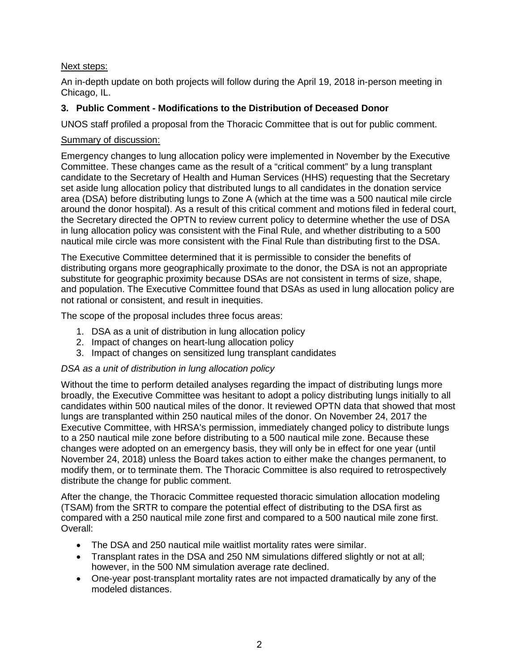# Next steps:

An in-depth update on both projects will follow during the April 19, 2018 in-person meeting in Chicago, IL.

# **3. Public Comment - Modifications to the Distribution of Deceased Donor**

UNOS staff profiled a proposal from the Thoracic Committee that is out for public comment.

### Summary of discussion:

Emergency changes to lung allocation policy were implemented in November by the Executive Committee. These changes came as the result of a "critical comment" by a lung transplant candidate to the Secretary of Health and Human Services (HHS) requesting that the Secretary set aside lung allocation policy that distributed lungs to all candidates in the donation service area (DSA) before distributing lungs to Zone A (which at the time was a 500 nautical mile circle around the donor hospital). As a result of this critical comment and motions filed in federal court, the Secretary directed the OPTN to review current policy to determine whether the use of DSA in lung allocation policy was consistent with the Final Rule, and whether distributing to a 500 nautical mile circle was more consistent with the Final Rule than distributing first to the DSA.

The Executive Committee determined that it is permissible to consider the benefits of distributing organs more geographically proximate to the donor, the DSA is not an appropriate substitute for geographic proximity because DSAs are not consistent in terms of size, shape, and population. The Executive Committee found that DSAs as used in lung allocation policy are not rational or consistent, and result in inequities.

The scope of the proposal includes three focus areas:

- 1. DSA as a unit of distribution in lung allocation policy
- 2. Impact of changes on heart-lung allocation policy
- 3. Impact of changes on sensitized lung transplant candidates

### *DSA as a unit of distribution in lung allocation policy*

Without the time to perform detailed analyses regarding the impact of distributing lungs more broadly, the Executive Committee was hesitant to adopt a policy distributing lungs initially to all candidates within 500 nautical miles of the donor. It reviewed OPTN data that showed that most lungs are transplanted within 250 nautical miles of the donor. On November 24, 2017 the Executive Committee, with HRSA's permission, immediately changed policy to distribute lungs to a 250 nautical mile zone before distributing to a 500 nautical mile zone. Because these changes were adopted on an emergency basis, they will only be in effect for one year (until November 24, 2018) unless the Board takes action to either make the changes permanent, to modify them, or to terminate them. The Thoracic Committee is also required to retrospectively distribute the change for public comment.

After the change, the Thoracic Committee requested thoracic simulation allocation modeling (TSAM) from the SRTR to compare the potential effect of distributing to the DSA first as compared with a 250 nautical mile zone first and compared to a 500 nautical mile zone first. Overall:

- The DSA and 250 nautical mile waitlist mortality rates were similar.
- Transplant rates in the DSA and 250 NM simulations differed slightly or not at all; however, in the 500 NM simulation average rate declined.
- One-year post-transplant mortality rates are not impacted dramatically by any of the modeled distances.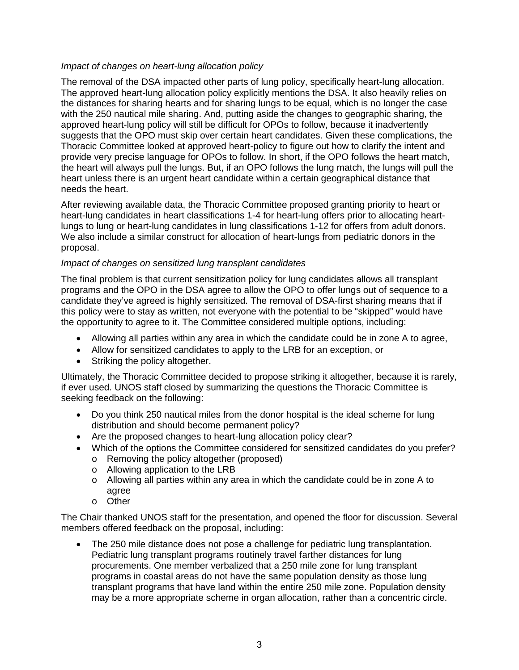## *Impact of changes on heart-lung allocation policy*

The removal of the DSA impacted other parts of lung policy, specifically heart-lung allocation. The approved heart-lung allocation policy explicitly mentions the DSA. It also heavily relies on the distances for sharing hearts and for sharing lungs to be equal, which is no longer the case with the 250 nautical mile sharing. And, putting aside the changes to geographic sharing, the approved heart-lung policy will still be difficult for OPOs to follow, because it inadvertently suggests that the OPO must skip over certain heart candidates. Given these complications, the Thoracic Committee looked at approved heart-policy to figure out how to clarify the intent and provide very precise language for OPOs to follow. In short, if the OPO follows the heart match, the heart will always pull the lungs. But, if an OPO follows the lung match, the lungs will pull the heart unless there is an urgent heart candidate within a certain geographical distance that needs the heart.

After reviewing available data, the Thoracic Committee proposed granting priority to heart or heart-lung candidates in heart classifications 1-4 for heart-lung offers prior to allocating heartlungs to lung or heart-lung candidates in lung classifications 1-12 for offers from adult donors. We also include a similar construct for allocation of heart-lungs from pediatric donors in the proposal.

#### *Impact of changes on sensitized lung transplant candidates*

The final problem is that current sensitization policy for lung candidates allows all transplant programs and the OPO in the DSA agree to allow the OPO to offer lungs out of sequence to a candidate they've agreed is highly sensitized. The removal of DSA-first sharing means that if this policy were to stay as written, not everyone with the potential to be "skipped" would have the opportunity to agree to it. The Committee considered multiple options, including:

- Allowing all parties within any area in which the candidate could be in zone A to agree,
- Allow for sensitized candidates to apply to the LRB for an exception, or
- Striking the policy altogether.

Ultimately, the Thoracic Committee decided to propose striking it altogether, because it is rarely, if ever used. UNOS staff closed by summarizing the questions the Thoracic Committee is seeking feedback on the following:

- Do you think 250 nautical miles from the donor hospital is the ideal scheme for lung distribution and should become permanent policy?
- Are the proposed changes to heart-lung allocation policy clear?
- Which of the options the Committee considered for sensitized candidates do you prefer?
	- o Removing the policy altogether (proposed)
	- o Allowing application to the LRB
	- $\circ$  Allowing all parties within any area in which the candidate could be in zone A to agree
	- o Other

The Chair thanked UNOS staff for the presentation, and opened the floor for discussion. Several members offered feedback on the proposal, including:

• The 250 mile distance does not pose a challenge for pediatric lung transplantation. Pediatric lung transplant programs routinely travel farther distances for lung procurements. One member verbalized that a 250 mile zone for lung transplant programs in coastal areas do not have the same population density as those lung transplant programs that have land within the entire 250 mile zone. Population density may be a more appropriate scheme in organ allocation, rather than a concentric circle.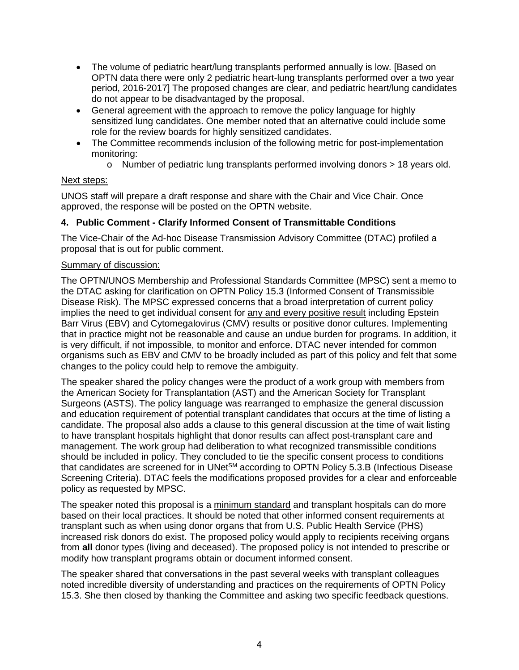- The volume of pediatric heart/lung transplants performed annually is low. [Based on OPTN data there were only 2 pediatric heart-lung transplants performed over a two year period, 2016-2017] The proposed changes are clear, and pediatric heart/lung candidates do not appear to be disadvantaged by the proposal.
- General agreement with the approach to remove the policy language for highly sensitized lung candidates. One member noted that an alternative could include some role for the review boards for highly sensitized candidates.
- The Committee recommends inclusion of the following metric for post-implementation monitoring:
	- o Number of pediatric lung transplants performed involving donors > 18 years old.

### Next steps:

UNOS staff will prepare a draft response and share with the Chair and Vice Chair. Once approved, the response will be posted on the OPTN website.

### **4. Public Comment - Clarify Informed Consent of Transmittable Conditions**

The Vice-Chair of the Ad-hoc Disease Transmission Advisory Committee (DTAC) profiled a proposal that is out for public comment.

#### Summary of discussion:

The OPTN/UNOS Membership and Professional Standards Committee (MPSC) sent a memo to the DTAC asking for clarification on OPTN Policy 15.3 (Informed Consent of Transmissible Disease Risk). The MPSC expressed concerns that a broad interpretation of current policy implies the need to get individual consent for any and every positive result including Epstein Barr Virus (EBV) and Cytomegalovirus (CMV) results or positive donor cultures. Implementing that in practice might not be reasonable and cause an undue burden for programs. In addition, it is very difficult, if not impossible, to monitor and enforce. DTAC never intended for common organisms such as EBV and CMV to be broadly included as part of this policy and felt that some changes to the policy could help to remove the ambiguity.

The speaker shared the policy changes were the product of a work group with members from the American Society for Transplantation (AST) and the American Society for Transplant Surgeons (ASTS). The policy language was rearranged to emphasize the general discussion and education requirement of potential transplant candidates that occurs at the time of listing a candidate. The proposal also adds a clause to this general discussion at the time of wait listing to have transplant hospitals highlight that donor results can affect post-transplant care and management. The work group had deliberation to what recognized transmissible conditions should be included in policy. They concluded to tie the specific consent process to conditions that candidates are screened for in UNet $\text{SM}$  according to OPTN Policy 5.3.B (Infectious Disease Screening Criteria). DTAC feels the modifications proposed provides for a clear and enforceable policy as requested by MPSC.

The speaker noted this proposal is a minimum standard and transplant hospitals can do more based on their local practices. It should be noted that other informed consent requirements at transplant such as when using donor organs that from U.S. Public Health Service (PHS) increased risk donors do exist. The proposed policy would apply to recipients receiving organs from **all** donor types (living and deceased). The proposed policy is not intended to prescribe or modify how transplant programs obtain or document informed consent.

The speaker shared that conversations in the past several weeks with transplant colleagues noted incredible diversity of understanding and practices on the requirements of OPTN Policy 15.3. She then closed by thanking the Committee and asking two specific feedback questions.